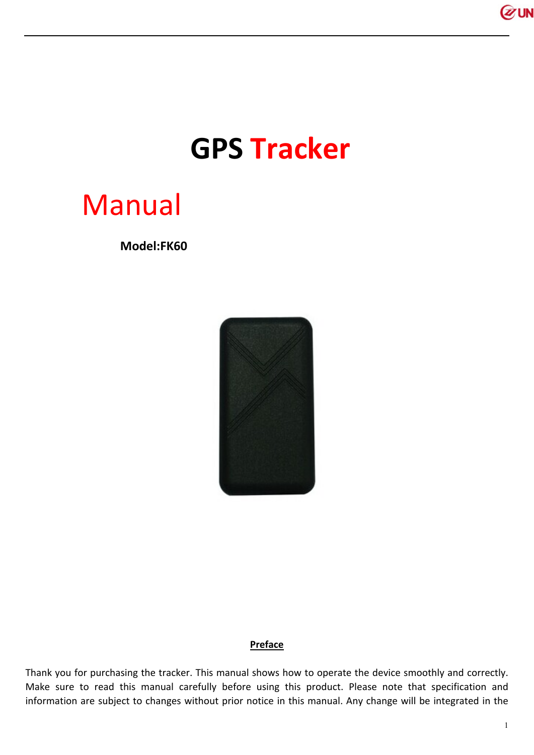

# **GPS Tracker**

# Manual

 **Model:FK60**



# **Preface**

Thank you for purchasing the tracker. This manual shows how to operate the device smoothly and correctly. Make sure to read this manual carefully before using this product. Please note that specification and information are subject to changes without prior notice in this manual. Any change will be integrated in the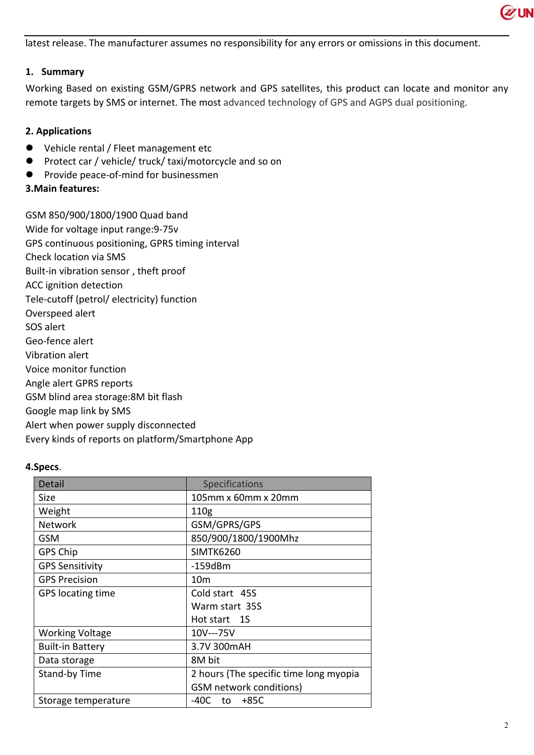

latest release. The manufacturer assumes no responsibility for any errors or omissions in this document.

## **1. Summary**

Working Based on existing GSM/GPRS network and GPS satellites, this product can locate and monitor any remote targets by SMS or internet. The most advanced technology of GPS and AGPS dual positioning.

## **2. Applications**

- Vehicle rental / Fleet management etc
- Protect car / vehicle/ truck/ taxi/motorcycle and so on
- **•** Provide peace-of-mind for businessmen
- **3.Main features:**

GSM 850/900/1800/1900 Quad band Wide for voltage input range:9-75v GPS continuous positioning, GPRS timing interval Check location via SMS Built-in vibration sensor , theft proof ACC ignition detection Tele-cutoff (petrol/ electricity) function Overspeed alert SOS alert Geo-fence alert Vibration alert Voice monitor function Angle alert GPRS reports GSM blind area storage:8M bit flash Google map link by SMS Alert when power supply disconnected Every kinds of reports on platform/Smartphone App

## **4.Specs**.

| Detail                  | Specifications                         |  |  |
|-------------------------|----------------------------------------|--|--|
| Size                    | 105mm x 60mm x 20mm                    |  |  |
| Weight                  | 110 <sub>g</sub>                       |  |  |
| <b>Network</b>          | GSM/GPRS/GPS                           |  |  |
| <b>GSM</b>              | 850/900/1800/1900Mhz                   |  |  |
| GPS Chip                | <b>SIMTK6260</b>                       |  |  |
| <b>GPS Sensitivity</b>  | $-159dBm$                              |  |  |
| <b>GPS Precision</b>    | 10 <sub>m</sub>                        |  |  |
| GPS locating time       | Cold start 45S                         |  |  |
|                         | Warm start 35S                         |  |  |
|                         | Hot start 1S                           |  |  |
| <b>Working Voltage</b>  | 10V---75V                              |  |  |
| <b>Built-in Battery</b> | 3.7V 300mAH                            |  |  |
| Data storage            | 8M bit                                 |  |  |
| Stand-by Time           | 2 hours (The specific time long myopia |  |  |
|                         | <b>GSM</b> network conditions)         |  |  |
| Storage temperature     | $-40C$ to $+85C$                       |  |  |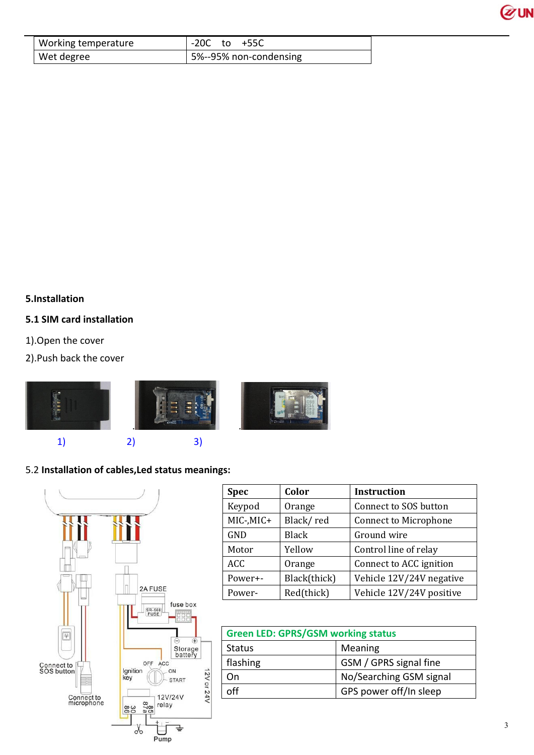

| Working temperature | $-20C$ to $+55C$       |
|---------------------|------------------------|
| Wet degree          | 5%--95% non-condensing |

# **5.Installation**

## **5.1 SIM card installation**

- 1).Open the cover
- 2).Push back the cover



# 5.2 **Installation of cables,Led status meanings:**



| <b>Spec</b> | Color        | <b>Instruction</b>           |
|-------------|--------------|------------------------------|
| Keypod      | Orange       | Connect to SOS button        |
| MIC-, MIC+  | Black/red    | <b>Connect to Microphone</b> |
| GND         | <b>Black</b> | Ground wire                  |
| Motor       | Yellow       | Control line of relay        |
| <b>ACC</b>  | Orange       | Connect to ACC ignition      |
| Power+-     | Black(thick) | Vehicle 12V/24V negative     |
| Power-      | Red(thick)   | Vehicle 12V/24V positive     |

| <b>Green LED: GPRS/GSM working status</b> |                         |  |
|-------------------------------------------|-------------------------|--|
| <b>Status</b>                             | Meaning                 |  |
| flashing                                  | GSM / GPRS signal fine  |  |
| On                                        | No/Searching GSM signal |  |
|                                           | GPS power off/In sleep  |  |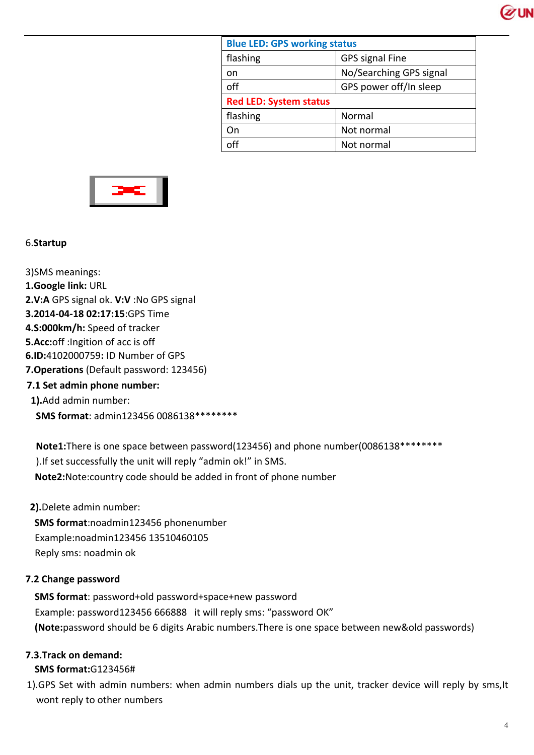

| <b>Blue LED: GPS working status</b> |                         |  |  |
|-------------------------------------|-------------------------|--|--|
| flashing                            | <b>GPS signal Fine</b>  |  |  |
| on                                  | No/Searching GPS signal |  |  |
| off                                 | GPS power off/In sleep  |  |  |
| <b>Red LED: System status</b>       |                         |  |  |
|                                     |                         |  |  |
| flashing                            | Normal                  |  |  |
| On                                  | Not normal              |  |  |



## 6.**Startup**

3)SMS meanings: **1.Google link:** URL **2.V:A** GPS signal ok. **V:V** :No GPS signal **3.2014-04-18 02:17:15**:GPS Time **4.S:000km/h:** Speed of tracker **5.Acc:**off :Ingition of acc is off **6.ID:**4102000759**:** ID Number of GPS **7.Operations** (Default password: 123456) **7.1 Set admin phone number: 1).**Add admin number: **SMS format**: admin123456 0086138\*\*\*\*\*\*\*\*

**Note1:**There is one space between password(123456) and phone number(0086138\*\*\*\*\*\*\*\* ).If set successfully the unit will reply "admin ok!" in SMS. **Note2:**Note:country code should be added in front of phone number

**2).**Delete admin number: **SMS format**:noadmin123456 phonenumber Example:noadmin123456 13510460105 Reply sms: noadmin ok

## **7.2 Change password**

**SMS format**: password+old password+space+new password Example: password123456 666888 it will reply sms: "password OK" **(Note:**password should be 6 digits Arabic numbers.There is one space between new&old passwords)

## **7.3.Track on demand:**

**SMS format:**G123456#

1).GPS Set with admin numbers: when admin numbers dials up the unit, tracker device will reply by sms,It wont reply to other numbers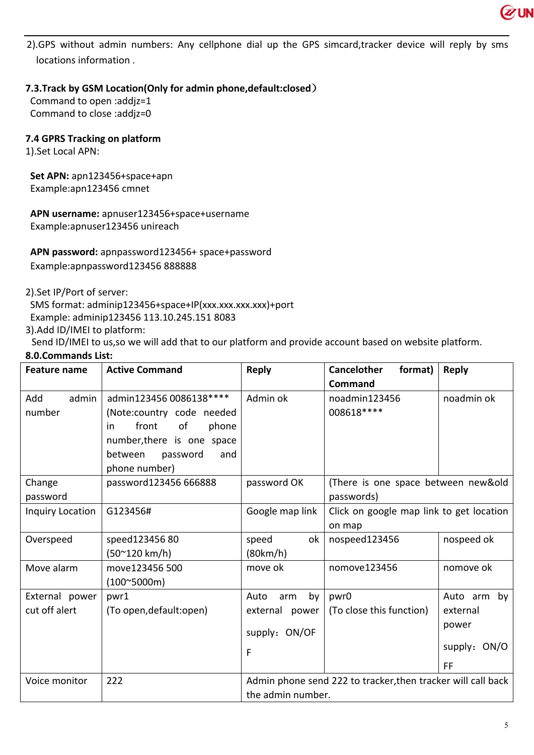

2).GPS without admin numbers: Any cellphone dial up the GPS simcard,tracker device will reply by sms locations information .

# **7.3.Track by GSM Location(Only for admin phone,default:closed)**

Command to open :addjz=1 Command to close :addjz=0

## **7.4 GPRS Tracking on platform**

1).Set Local APN:

 **Set APN:** apn123456+space+apn Example:apn123456 cmnet

 **APN username:** apnuser123456+space+username Example:apnuser123456 unireach

 **APN password:** apnpassword123456+ space+password Example:apnpassword123456 888888

2).Set IP/Port of server:

SMS format: adminip123456+space+IP(xxx.xxx.xxx.xxx)+port Example: adminip123456 113.10.245.151 8083

3).Add ID/IMEI to platform:

Send ID/IMEI to us,so we will add that to our platform and provide account based on website platform.

## **8.0.Commands List:**

| <b>Feature name</b> | <b>Active Command</b>       | <b>Reply</b>                                                 | <b>Cancelother</b><br>format)            | <b>Reply</b> |
|---------------------|-----------------------------|--------------------------------------------------------------|------------------------------------------|--------------|
|                     |                             |                                                              | Command                                  |              |
| Add<br>admin        | admin123456 0086138 ****    | Admin ok                                                     | noadmin123456                            | noadmin ok   |
| number              | (Note:country code needed   |                                                              | 008618 ****                              |              |
|                     | front<br>of<br>phone<br>in. |                                                              |                                          |              |
|                     | number, there is one space  |                                                              |                                          |              |
|                     | between<br>password<br>and  |                                                              |                                          |              |
|                     | phone number)               |                                                              |                                          |              |
| Change              | password123456 666888       | password OK                                                  | (There is one space between new&old      |              |
| password            |                             |                                                              | passwords)                               |              |
| Inquiry Location    | G123456#                    | Google map link                                              | Click on google map link to get location |              |
|                     |                             |                                                              | on map                                   |              |
| Overspeed           | speed123456 80              | speed<br>ok                                                  | nospeed123456                            | nospeed ok   |
|                     | (50~120 km/h)               | (80km/h)                                                     |                                          |              |
| Move alarm          | move123456 500              | move ok                                                      | nomove123456                             | nomove ok    |
|                     | $(100^{\circ}5000m)$        |                                                              |                                          |              |
| External power      | pwr1                        | Auto<br>by<br>arm                                            | pwr0                                     | Auto arm by  |
| cut off alert       | (To open, default: open)    | external power                                               | (To close this function)                 | external     |
|                     |                             | supply: ON/OF                                                |                                          | power        |
|                     |                             | F                                                            |                                          | supply: ON/O |
|                     |                             |                                                              |                                          | <b>FF</b>    |
| Voice monitor       | 222                         | Admin phone send 222 to tracker, then tracker will call back |                                          |              |
|                     |                             | the admin number.                                            |                                          |              |